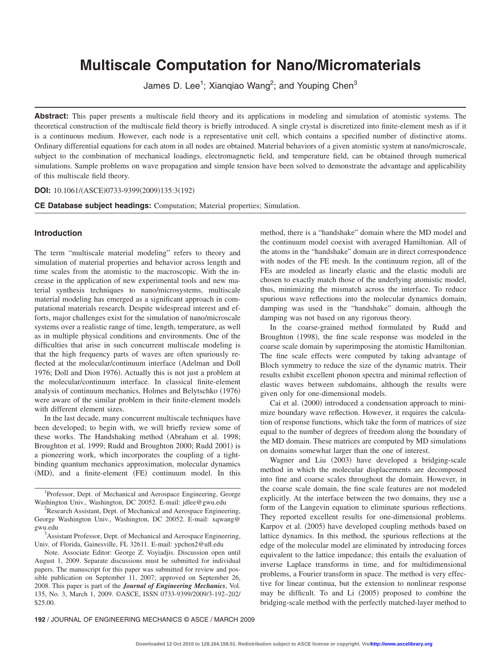# **Multiscale Computation for Nano/Micromaterials**

James D. Lee<sup>1</sup>; Xianqiao Wang<sup>2</sup>; and Youping Chen<sup>3</sup>

Abstract: This paper presents a multiscale field theory and its applications in modeling and simulation of atomistic systems. The theoretical construction of the multiscale field theory is briefly introduced. A single crystal is discretized into finite-element mesh as if it is a continuous medium. However, each node is a representative unit cell, which contains a specified number of distinctive atoms. Ordinary differential equations for each atom in all nodes are obtained. Material behaviors of a given atomistic system at nano/microscale, subject to the combination of mechanical loadings, electromagnetic field, and temperature field, can be obtained through numerical simulations. Sample problems on wave propagation and simple tension have been solved to demonstrate the advantage and applicability of this multiscale field theory.

#### **DOI:** 10.1061/(ASCE)0733-9399(2009)135:3(192)

**CE Database subject headings:** Computation; Material properties; Simulation.

# **Introduction**

The term "multiscale material modeling" refers to theory and simulation of material properties and behavior across length and time scales from the atomistic to the macroscopic. With the increase in the application of new experimental tools and new material synthesis techniques to nano/microsystems, multiscale material modeling has emerged as a significant approach in computational materials research. Despite widespread interest and efforts, major challenges exist for the simulation of nano/microscale systems over a realistic range of time, length, temperature, as well as in multiple physical conditions and environments. One of the difficulties that arise in such concurrent multiscale modeling is that the high frequency parts of waves are often spuriously reflected at the molecular/continuum interface (Adelman and Doll 1976; Doll and Dion 1976). Actually this is not just a problem at the molecular/continuum interface. In classical finite-element analysis of continuum mechanics, Holmes and Belytschko (1976) were aware of the similar problem in their finite-element models with different element sizes.

In the last decade, many concurrent multiscale techniques have been developed; to begin with, we will briefly review some of these works. The Handshaking method Abraham et al. 1998; Broughton et al. 1999; Rudd and Broughton 2000; Rudd 2001) is a pioneering work, which incorporates the coupling of a tightbinding quantum mechanics approximation, molecular dynamics (MD), and a finite-element (FE) continuum model. In this

<sup>1</sup>Professor, Dept. of Mechanical and Aerospace Engineering, George Washington Univ., Washington, DC 20052. E-mail: jdlee@gwu.edu <sup>2</sup>

Research Assistant, Dept. of Mechanical and Aerospace Engineering, George Washington Univ., Washington, DC 20052. E-mail: xqwang@ gwu.edu <sup>3</sup>

Assistant Professor, Dept. of Mechanical and Aerospace Engineering, Univ. of Florida, Gainesville, FL 32611. E-mail: ypchen2@ufl.edu

Note. Associate Editor: George Z. Voyiadjis. Discussion open until August 1, 2009. Separate discussions must be submitted for individual papers. The manuscript for this paper was submitted for review and possible publication on September 11, 2007; approved on September 26, 2008. This paper is part of the *Journal of Engineering Mechanics*, Vol. 135, No. 3, March 1, 2009. ©ASCE, ISSN 0733-9399/2009/3-192–202/ \$25.00.

method, there is a "handshake" domain where the MD model and the continuum model coexist with averaged Hamiltonian. All of the atoms in the "handshake" domain are in direct correspondence with nodes of the FE mesh. In the continuum region, all of the FEs are modeled as linearly elastic and the elastic moduli are chosen to exactly match those of the underlying atomistic model, thus, minimizing the mismatch across the interface. To reduce spurious wave reflections into the molecular dynamics domain, damping was used in the "handshake" domain, although the damping was not based on any rigorous theory.

In the coarse-grained method formulated by Rudd and Broughton (1998), the fine scale response was modeled in the coarse scale domain by superimposing the atomistic Hamiltonian. The fine scale effects were computed by taking advantage of Bloch symmetry to reduce the size of the dynamic matrix. Their results exhibit excellent phonon spectra and minimal reflection of elastic waves between subdomains, although the results were given only for one-dimensional models.

Cai et al. (2000) introduced a condensation approach to minimize boundary wave reflection. However, it requires the calculation of response functions, which take the form of matrices of size equal to the number of degrees of freedom along the boundary of the MD domain. These matrices are computed by MD simulations on domains somewhat larger than the one of interest.

Wagner and Liu (2003) have developed a bridging-scale method in which the molecular displacements are decomposed into fine and coarse scales throughout the domain. However, in the coarse scale domain, the fine scale features are not modeled explicitly. At the interface between the two domains, they use a form of the Langevin equation to eliminate spurious reflections. They reported excellent results for one-dimensional problems. Karpov et al. (2005) have developed coupling methods based on lattice dynamics. In this method, the spurious reflections at the edge of the molecular model are eliminated by introducing forces equivalent to the lattice impedance; this entails the evaluation of inverse Laplace transforms in time, and for multidimensional problems, a Fourier transform in space. The method is very effective for linear continua, but the extension to nonlinear response may be difficult. To and Li (2005) proposed to combine the bridging-scale method with the perfectly matched-layer method to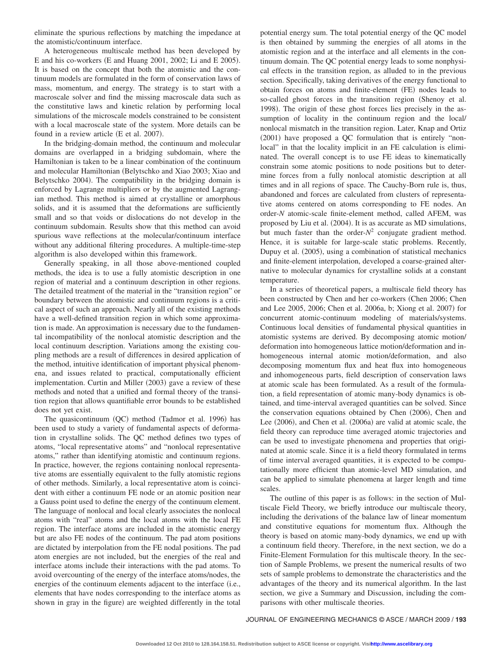eliminate the spurious reflections by matching the impedance at the atomistic/continuum interface.

A heterogeneous multiscale method has been developed by E and his co-workers (E and Huang 2001, 2002; Li and E 2005). It is based on the concept that both the atomistic and the continuum models are formulated in the form of conservation laws of mass, momentum, and energy. The strategy is to start with a macroscale solver and find the missing macroscale data such as the constitutive laws and kinetic relation by performing local simulations of the microscale models constrained to be consistent with a local macroscale state of the system. More details can be found in a review article  $(E$  et al. 2007).

In the bridging-domain method, the continuum and molecular domains are overlapped in a bridging subdomain, where the Hamiltonian is taken to be a linear combination of the continuum and molecular Hamiltonian (Belytschko and Xiao 2003; Xiao and Belytschko 2004). The compatibility in the bridging domain is enforced by Lagrange multipliers or by the augmented Lagrangian method. This method is aimed at crystalline or amorphous solids, and it is assumed that the deformations are sufficiently small and so that voids or dislocations do not develop in the continuum subdomain. Results show that this method can avoid spurious wave reflections at the molecular/continuum interface without any additional filtering procedures. A multiple-time-step algorithm is also developed within this framework.

Generally speaking, in all those above-mentioned coupled methods, the idea is to use a fully atomistic description in one region of material and a continuum description in other regions. The detailed treatment of the material in the "transition region" or boundary between the atomistic and continuum regions is a critical aspect of such an approach. Nearly all of the existing methods have a well-defined transition region in which some approximation is made. An approximation is necessary due to the fundamental incompatibility of the nonlocal atomistic description and the local continuum description. Variations among the existing coupling methods are a result of differences in desired application of the method, intuitive identification of important physical phenomena, and issues related to practical, computationally efficient implementation. Curtin and Miller (2003) gave a review of these methods and noted that a unified and formal theory of the transition region that allows quantifiable error bounds to be established does not yet exist.

The quasicontinuum (QC) method (Tadmor et al. 1996) has been used to study a variety of fundamental aspects of deformation in crystalline solids. The QC method defines two types of atoms, "local representative atoms" and "nonlocal representative atoms," rather than identifying atomistic and continuum regions. In practice, however, the regions containing nonlocal representative atoms are essentially equivalent to the fully atomistic regions of other methods. Similarly, a local representative atom is coincident with either a continuum FE node or an atomic position near a Gauss point used to define the energy of the continuum element. The language of nonlocal and local clearly associates the nonlocal atoms with "real" atoms and the local atoms with the local FE region. The interface atoms are included in the atomistic energy but are also FE nodes of the continuum. The pad atom positions are dictated by interpolation from the FE nodal positions. The pad atom energies are not included, but the energies of the real and interface atoms include their interactions with the pad atoms. To avoid overcounting of the energy of the interface atoms/nodes, the energies of the continuum elements adjacent to the interface (i.e., elements that have nodes corresponding to the interface atoms as shown in gray in the figure) are weighted differently in the total

potential energy sum. The total potential energy of the QC model is then obtained by summing the energies of all atoms in the atomistic region and at the interface and all elements in the continuum domain. The QC potential energy leads to some nonphysical effects in the transition region, as alluded to in the previous section. Specifically, taking derivatives of the energy functional to obtain forces on atoms and finite-element (FE) nodes leads to so-called ghost forces in the transition region (Shenoy et al. 1998). The origin of these ghost forces lies precisely in the assumption of locality in the continuum region and the local/ nonlocal mismatch in the transition region. Later, Knap and Ortiz (2001) have proposed a QC formulation that is entirely "nonlocal" in that the locality implicit in an FE calculation is eliminated. The overall concept is to use FE ideas to kinematically constrain some atomic positions to node positions but to determine forces from a fully nonlocal atomistic description at all times and in all regions of space. The Cauchy-Born rule is, thus, abandoned and forces are calculated from clusters of representative atoms centered on atoms corresponding to FE nodes. An order-*N* atomic-scale finite-element method, called AFEM, was proposed by Liu et al. (2004). It is as accurate as MD simulations, but much faster than the order-*N*<sup>2</sup> conjugate gradient method. Hence, it is suitable for large-scale static problems. Recently, Dupuy et al. (2005), using a combination of statistical mechanics and finite-element interpolation, developed a coarse-grained alternative to molecular dynamics for crystalline solids at a constant temperature.

In a series of theoretical papers, a multiscale field theory has been constructed by Chen and her co-workers Chen 2006; Chen and Lee 2005, 2006; Chen et al. 2006a, b; Xiong et al. 2007) for concurrent atomic-continuum modeling of materials/systems. Continuous local densities of fundamental physical quantities in atomistic systems are derived. By decomposing atomic motion/ deformation into homogeneous lattice motion/deformation and inhomogeneous internal atomic motion/deformation, and also decomposing momentum flux and heat flux into homogeneous and inhomogeneous parts, field description of conservation laws at atomic scale has been formulated. As a result of the formulation, a field representation of atomic many-body dynamics is obtained, and time-interval averaged quantities can be solved. Since the conservation equations obtained by Chen (2006), Chen and Lee (2006), and Chen et al. (2006a) are valid at atomic scale, the field theory can reproduce time averaged atomic trajectories and can be used to investigate phenomena and properties that originated at atomic scale. Since it is a field theory formulated in terms of time interval averaged quantities, it is expected to be computationally more efficient than atomic-level MD simulation, and can be applied to simulate phenomena at larger length and time scales.

The outline of this paper is as follows: in the section of Multiscale Field Theory, we briefly introduce our multiscale theory, including the derivations of the balance law of linear momentum and constitutive equations for momentum flux. Although the theory is based on atomic many-body dynamics, we end up with a continuum field theory. Therefore, in the next section, we do a Finite-Element Formulation for this multiscale theory. In the section of Sample Problems, we present the numerical results of two sets of sample problems to demonstrate the characteristics and the advantages of the theory and its numerical algorithm. In the last section, we give a Summary and Discussion, including the comparisons with other multiscale theories.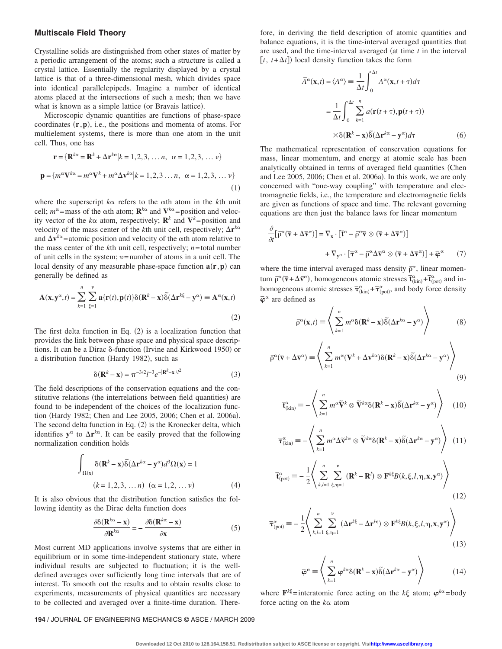#### **Multiscale Field Theory**

**r**  $\frac{1}{2}$   $\frac{1}{2}$   $\frac{1}{2}$   $\frac{1}{2}$ 

Crystalline solids are distinguished from other states of matter by a periodic arrangement of the atoms; such a structure is called a crystal lattice. Essentially the regularity displayed by a crystal lattice is that of a three-dimensional mesh, which divides space into identical parallelepipeds. Imagine a number of identical atoms placed at the intersections of such a mesh; then we have what is known as a simple lattice (or Bravais lattice).

Microscopic dynamic quantities are functions of phase-space coordinates  $(\mathbf{r}, \mathbf{p})$ , i.e., the positions and momenta of atoms. For multielement systems, there is more than one atom in the unit cell. Thus, one has

$$
\mathbf{r} = \{ \mathbf{R}^{k\alpha} = \mathbf{R}^k + \Delta \mathbf{r}^{k\alpha} | k = 1, 2, 3, ..., n, \alpha = 1, 2, 3, ... v \}
$$
  

$$
\mathbf{p} = \{ m^{\alpha} \mathbf{V}^{k\alpha} = m^{\alpha} \mathbf{V}^k + m^{\alpha} \Delta \mathbf{v}^{k\alpha} | k = 1, 2, 3 ..., n, \alpha = 1, 2, 3, ... v \}
$$
  
(1)

where the superscript  $k\alpha$  refers to the  $\alpha$ th atom in the  $k$ th unit cell;  $m^{\alpha}$ =mass of the  $\alpha$ th atom;  $\mathbf{R}^{k\alpha}$  and  $\mathbf{V}^{k\alpha}$ =position and velocity vector of the  $k\alpha$  atom, respectively;  $\mathbf{R}^k$  and  $\mathbf{V}^k$ = position and velocity of the mass center of the *k*th unit cell, respectively;  $\Delta r^{k\alpha}$ and  $\Delta v^{k\alpha}$  = atomic position and velocity of the  $\alpha$ th atom relative to the mass center of the *k*th unit cell, respectively; *n*=total number of unit cells in the system;  $v$ = number of atoms in a unit cell. The local density of any measurable phase-space function  $a(r, p)$  can generally be defined as

$$
\mathbf{A}(\mathbf{x}, \mathbf{y}^{\alpha}, t) = \sum_{k=1}^{n} \sum_{\xi=1}^{v} \mathbf{a} \{ \mathbf{r}(t), \mathbf{p}(t) \} \delta(\mathbf{R}^{k} - \mathbf{x}) \widetilde{\delta}(\Delta \mathbf{r}^{k \xi} - \mathbf{y}^{\alpha}) \equiv \mathbf{A}^{\alpha}(\mathbf{x}, t)
$$
\n(2)

The first delta function in Eq.  $(2)$  is a localization function that provides the link between phase space and physical space descriptions. It can be a Dirac  $\delta$ -function (Irvine and Kirkwood 1950) or a distribution function (Hardy 1982), such as

$$
\delta(\mathbf{R}^k - \mathbf{x}) = \pi^{-3/2} l^{-3} e^{-|\mathbf{R}^k - \mathbf{x}|/l^2}
$$
 (3)

The field descriptions of the conservation equations and the constitutive relations (the interrelations between field quantities) are found to be independent of the choices of the localization function (Hardy 1982; Chen and Lee 2005, 2006; Chen et al. 2006a). The second delta function in Eq. (2) is the Kronecker delta, which identifies  $y^{\alpha}$  to  $\Delta r^{k\alpha}$ . It can be easily proved that the following normalization condition holds

$$
\int_{\Omega(\mathbf{x})} \delta(\mathbf{R}^k - \mathbf{x}) \widetilde{\delta}(\Delta \mathbf{r}^{k\alpha} - \mathbf{y}^{\alpha}) d^3 \Omega(\mathbf{x}) = 1
$$
  
(k = 1, 2, 3, ... n) (\alpha = 1, 2, ... v) (4)

It is also obvious that the distribution function satisfies the following identity as the Dirac delta function does

$$
\frac{\partial \delta(\mathbf{R}^{k\alpha} - \mathbf{x})}{\partial \mathbf{R}^{k\alpha}} = -\frac{\partial \delta(\mathbf{R}^{k\alpha} - \mathbf{x})}{\partial \mathbf{x}}
$$
(5)

Most current MD applications involve systems that are either in equilibrium or in some time-independent stationary state, where individual results are subjected to fluctuation; it is the welldefined averages over sufficiently long time intervals that are of interest. To smooth out the results and to obtain results close to experiments, measurements of physical quantities are necessary to be collected and averaged over a finite-time duration. There-

fore, in deriving the field description of atomic quantities and balance equations, it is the time-interval averaged quantities that are used, and the time-interval averaged (at time  $t$  in the interval  $[t, t+\Delta t]$ ) local density function takes the form

$$
\bar{A}^{\alpha}(\mathbf{x},t) = \langle A^{\alpha} \rangle \equiv \frac{1}{\Delta t} \int_{0}^{\Delta t} A^{\alpha}(\mathbf{x},t+\tau) d\tau
$$

$$
= \frac{1}{\Delta t} \int_{0}^{\Delta t} \sum_{k=1}^{n} a(\mathbf{r}(t+\tau), \mathbf{p}(t+\tau))
$$

$$
\times \delta(\mathbf{R}^{k} - \mathbf{x}) \tilde{\delta}(\Delta \mathbf{r}^{k\alpha} - \mathbf{y}^{\alpha}) d\tau
$$
(6)

The mathematical representation of conservation equations for mass, linear momentum, and energy at atomic scale has been analytically obtained in terms of averaged field quantities Chen and Lee 2005, 2006; Chen et al. 2006a). In this work, we are only concerned with "one-way coupling" with temperature and electromagnetic fields, i.e., the temperature and electromagnetic fields are given as functions of space and time. The relevant governing equations are then just the balance laws for linear momentum

$$
\frac{\partial}{\partial t} [\bar{\rho}^{\alpha} (\bar{v} + \Delta \bar{v}^{\alpha})] = \nabla_{x} \cdot [\bar{t}^{\alpha} - \bar{\rho}^{\alpha} \bar{v} \otimes (\bar{v} + \Delta \bar{v}^{\alpha})] \n+ \nabla_{y^{\alpha}} \cdot [\bar{\tau}^{\alpha} - \bar{\rho}^{\alpha} \Delta \bar{v}^{\alpha} \otimes (\bar{v} + \Delta \bar{v}^{\alpha})] + \bar{\varphi}^{\alpha} \tag{7}
$$

where the time interval averaged mass density  $\bar{\rho}^{\alpha}$ , linear momentum  $\bar{\rho}^{\alpha}(\bar{v}+\Delta\bar{v}^{\alpha})$ , homogeneous atomic stresses  $\bar{t}^{\alpha}_{(kin)}+\bar{t}^{\alpha}_{(pot)}$  and inhomogeneous atomic stresses  $\overline{\tau}^{\alpha}_{(kin)} + \overline{\tau}^{\alpha}_{(pot)}$ , and body force density  $\overline{\varphi}^{\alpha}$  are defined as

$$
\bar{\rho}^{\alpha}(\mathbf{x},t) \equiv \left\langle \sum_{k=1}^{n} m^{\alpha} \delta(\mathbf{R}^{k} - \mathbf{x}) \tilde{\delta}(\Delta \mathbf{r}^{k\alpha} - \mathbf{y}^{\alpha}) \right\rangle \tag{8}
$$

$$
\overline{\rho}^{\alpha}(\overline{\mathbf{v}} + \Delta \overline{\mathbf{v}}^{\alpha}) = \left\langle \sum_{k=1}^{n} m^{\alpha} (\mathbf{V}^{k} + \Delta \mathbf{v}^{k\alpha}) \delta(\mathbf{R}^{k} - \mathbf{x}) \widetilde{\delta}(\Delta \mathbf{r}^{k\alpha} - \mathbf{y}^{\alpha}) \right\rangle
$$
\n(9)

$$
\overline{\mathbf{t}}_{(kin)}^{\alpha} = -\left\langle \sum_{k=1}^{n} m^{\alpha} \widetilde{\mathbf{V}}^{k} \otimes \widetilde{\mathbf{V}}^{k\alpha} \delta(\mathbf{R}^{k} - \mathbf{x}) \widetilde{\delta}(\Delta \mathbf{r}^{k\alpha} - \mathbf{y}^{\alpha}) \right\rangle \quad (10)
$$

$$
\overline{\tau}_{(kin)}^{\alpha} = -\left\langle \sum_{k=1}^{n} m^{\alpha} \Delta \widetilde{\mathbf{v}}^{k\alpha} \otimes \widetilde{\mathbf{V}}^{k\alpha} \delta(\mathbf{R}^{k} - \mathbf{x}) \widetilde{\delta} (\Delta \mathbf{r}^{k\alpha} - \mathbf{y}^{\alpha}) \right\rangle (11)
$$

$$
\overline{\mathbf{t}}_{(\text{pot})}^{\alpha} = -\frac{1}{2} \left\langle \sum_{k,l=1}^{n} \sum_{\xi,\eta=1}^{v} \left( \mathbf{R}^{k} - \mathbf{R}^{l} \right) \otimes \mathbf{F}^{k\xi} B(k,\xi,l,\eta,\mathbf{x},\mathbf{y}^{\alpha}) \right\rangle
$$
\n(12)

$$
\overline{\tau}_{\text{(pot)}}^{\alpha} = -\frac{1}{2} \left\langle \sum_{k,l=1}^{n} \sum_{\xi,\eta=1}^{v} \left( \Delta \mathbf{r}^{k\xi} - \Delta \mathbf{r}^{l\eta} \right) \otimes \mathbf{F}^{k\xi} B(k,\xi,l,\eta,\mathbf{x},\mathbf{y}^{\alpha}) \right\rangle
$$
(13)

$$
\overline{\boldsymbol{\varphi}}^{\alpha} \equiv \left\langle \sum_{k=1}^{n} \boldsymbol{\varphi}^{k\alpha} \delta(\mathbf{R}^{k} - \mathbf{x}) \widetilde{\delta} (\Delta \mathbf{r}^{k\alpha} - \mathbf{y}^{\alpha}) \right\rangle \tag{14}
$$

where  $\mathbf{F}^{k\xi}$ = interatomic force acting on the  $k\xi$  atom;  $\varphi^{k\alpha}$ = body force acting on the  $k\alpha$  atom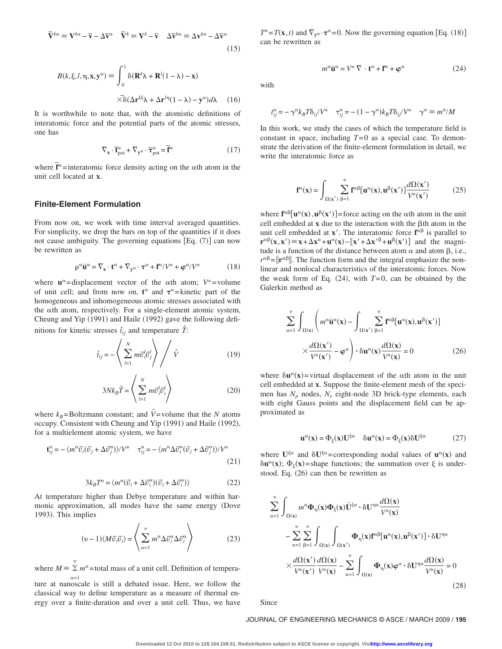$$
\widetilde{\mathbf{V}}^{k\alpha} = \mathbf{V}^{k\alpha} - \overline{\mathbf{v}} - \Delta \overline{\mathbf{v}}^{\alpha} \quad \widetilde{\mathbf{V}}^{k} = \mathbf{V}^{k} - \overline{\mathbf{v}} \quad \Delta \widetilde{\mathbf{v}}^{k\alpha} = \Delta \mathbf{v}^{k\alpha} - \Delta \overline{\mathbf{v}}^{\alpha}
$$
\n(15)

$$
B(k, \xi, l, \eta, \mathbf{x}, \mathbf{y}^{\alpha}) \equiv \int_0^1 \delta(\mathbf{R}^k \lambda + \mathbf{R}^l (1 - \lambda) - \mathbf{x})
$$

$$
\tilde{\times \delta} (\Delta \mathbf{r}^{k \xi} \lambda + \Delta \mathbf{r}^{l \eta} (1 - \lambda) - \mathbf{y}^{\alpha}) d\lambda \qquad (16)
$$

It is worthwhile to note that, with the atomistic definitions of interatomic force and the potential parts of the atomic stresses, one has

$$
\nabla_{\mathbf{x}} \cdot \overline{\mathbf{t}}_{\text{pot}}^{\alpha} + \nabla_{\mathbf{y}^{\alpha}} \cdot \overline{\boldsymbol{\tau}}_{\text{pot}}^{\alpha} = \overline{\mathbf{f}}^{\alpha} \tag{17}
$$

where  $\overline{f}^{\alpha}$  = interatomic force density acting on the  $\alpha$ th atom in the unit cell located at **x**.

# **Finite-Element Formulation**

From now on, we work with time interval averaged quantities. For simplicity, we drop the bars on top of the quantities if it does not cause ambiguity. The governing equations [Eq. (7)] can now be rewritten as

$$
\rho^{\alpha} \ddot{\mathbf{u}}^{\alpha} = \nabla_{\mathbf{x}} \cdot \mathbf{t}^{\alpha} + \nabla_{\mathbf{y}^{\alpha}} \cdot \boldsymbol{\tau}^{\alpha} + \mathbf{f}^{\alpha} / V^* + \boldsymbol{\varphi}^{\alpha} / V^* \tag{18}
$$

where  $\mathbf{u}^{\alpha}$ = displacement vector of the  $\alpha$ th atom; *V*\*= volume of unit cell; and from now on,  $t^{\alpha}$  and  $\tau^{\alpha}$ =kinetic part of the homogeneous and inhomogeneous atomic stresses associated with the  $\alpha$ th atom, respectively. For a single-element atomic system, Cheung and Yip (1991) and Haile (1992) gave the following definitions for kinetic stresses  $\hat{t}_{ij}$  and temperature  $\hat{T}$ :

$$
\hat{t}_{ij} = -\left\langle \sum_{l=1}^{N} m \tilde{v}_{i}^{l} \tilde{v}_{j}^{l} \right\rangle / \hat{V}
$$
\n(19)

$$
3Nk_B\hat{T} = \left\langle \sum_{l=1}^N m\tilde{v}_i^l\tilde{v}_i^l \right\rangle \tag{20}
$$

where  $k_B$ =Boltzmann constant; and  $\hat{V}$ =volume that the *N* atoms occupy. Consistent with Cheung and Yip (1991) and Haile (1992), for a multielement atomic system, we have

$$
\mathbf{t}_{ij}^{\alpha} = -\langle m^{\alpha} \tilde{v}_i(\tilde{v}_j + \Delta \tilde{v}_j^{\alpha}) \rangle / V^* \quad \tau_{ij}^{\alpha} = -\langle m^{\alpha} \Delta \tilde{v}_i^{\alpha}(\tilde{v}_j + \Delta \tilde{v}_j^{\alpha}) \rangle / V^* \tag{21}
$$

$$
3k_B T^{\alpha} = \langle m^{\alpha} (\tilde{\upsilon}_i + \Delta \tilde{\upsilon}_i^{\alpha}) (\tilde{\upsilon}_i + \Delta \tilde{\upsilon}_i^{\alpha}) \rangle \tag{22}
$$

At temperature higher than Debye temperature and within harmonic approximation, all modes have the same energy Dove 1993). This implies

$$
(\upsilon - 1)\langle M\tilde{\upsilon}_{i}\tilde{\upsilon}_{i}\rangle = \left\langle \sum_{\alpha=1}^{\upsilon} m^{\alpha} \Delta \tilde{\upsilon}_{i}^{\alpha} \Delta \tilde{\upsilon}_{i}^{\alpha} \right\rangle
$$
 (23)

where  $M \equiv \sum m^{\alpha}$  = total mass of a unit cell. Definition of tempera- $\alpha=1$  $\upsilon$ ture at nanoscale is still a debated issue. Here, we follow the

classical way to define temperature as a measure of thermal energy over a finite-duration and over a unit cell. Thus, we have

 $T^{\alpha} = T(\mathbf{x}, t)$  and  $\nabla_{\mathbf{y}^{\alpha}} \cdot \tau^{\alpha} = 0$ . Now the governing equation [Eq. (18)] can be rewritten as

 $m^{\alpha}$ **u**<sup> $\alpha$ </sup> =  $V^*$   $\nabla$   $\cdot$  **t**<sup> $\alpha$ </sup> + **f**<sup> $\alpha$ </sup> +  $\varphi$ 

 $\alpha$  (24)

with

$$
t_{ij}^{\alpha} = -\gamma^{\alpha} k_B T \delta_{ij} / V^* \quad \tau_{ij}^{\alpha} = -(1 - \gamma^{\alpha}) k_B T \delta_{ij} / V^* \quad \gamma^{\alpha} \equiv m^{\alpha} / M
$$

In this work, we study the cases of which the temperature field is constant in space, including  $T=0$  as a special case. To demonstrate the derivation of the finite-element formulation in detail, we write the interatomic force as

$$
\mathbf{f}^{\alpha}(\mathbf{x}) = \int_{\Omega(\mathbf{x}')} \sum_{\beta=1}^{\upsilon} \mathbf{f}^{\alpha\beta} [\mathbf{u}^{\alpha}(\mathbf{x}), \mathbf{u}^{\beta}(\mathbf{x}')] \frac{d\Omega(\mathbf{x}')}{V^{*}(\mathbf{x}')} \tag{25}
$$

where  $\mathbf{f}^{\alpha\beta}[\mathbf{u}^{\alpha}(\mathbf{x}), \mathbf{u}^{\beta}(\mathbf{x}')]$  = force acting on the  $\alpha$ th atom in the unit cell embedded at  $x$  due to the interaction with the  $\beta$ th atom in the unit cell embedded at  $x'$ . The interatomic force  $f^{\alpha\beta}$  is parallel to  $\mathbf{r}^{\alpha\beta}(\mathbf{x}, \mathbf{x}') \equiv \mathbf{x} + \Delta \mathbf{x}^{\alpha} + \mathbf{u}^{\alpha}(\mathbf{x}) - [\mathbf{x}' + \Delta \mathbf{x}'^{\beta} + \mathbf{u}^{\beta}(\mathbf{x}')]$  and the magnitude is a function of the distance between atom  $\alpha$  and atom  $\beta$ , i.e.,  $r^{\alpha\beta} = ||\mathbf{r}^{\alpha\beta}||$ . The function form and the integral emphasize the nonlinear and nonlocal characteristics of the interatomic forces. Now the weak form of Eq.  $(24)$ , with  $T=0$ , can be obtained by the Galerkin method as

$$
\sum_{\alpha=1}^{\nu} \int_{\Omega(\mathbf{x})} \left( m^{\alpha} \ddot{\mathbf{u}}^{\alpha}(\mathbf{x}) - \int_{\Omega(\mathbf{x}')} \sum_{\beta=1}^{\nu} \mathbf{f}^{\alpha\beta} [\mathbf{u}^{\alpha}(\mathbf{x}), \mathbf{u}^{\beta}(\mathbf{x}')] \right. \n\times \frac{d\Omega(\mathbf{x}')}{V^*(\mathbf{x}')} - \boldsymbol{\varphi}^{\alpha} \left( \mathbf{v} \right) \cdot \delta \mathbf{u}^{\alpha}(\mathbf{x}) \frac{d\Omega(\mathbf{x})}{V^*(\mathbf{x})} = 0 \tag{26}
$$

where  $\delta \mathbf{u}^{\alpha}(\mathbf{x})$  = virtual displacement of the  $\alpha$ th atom in the unit cell embedded at **x**. Suppose the finite-element mesh of the specimen has *Np* nodes, *Ne* eight-node 3D brick-type elements, each with eight Gauss points and the displacement field can be approximated as

$$
\mathbf{u}^{\alpha}(\mathbf{x}) = \Phi_{\xi}(\mathbf{x}) \mathbf{U}^{\xi \alpha} \quad \delta \mathbf{u}^{\alpha}(\mathbf{x}) = \Phi_{\xi}(\mathbf{x}) \delta \mathbf{U}^{\xi \alpha} \tag{27}
$$

where  $\mathbf{U}^{\xi\alpha}$  and  $\delta \mathbf{U}^{\xi\alpha}$  = corresponding nodal values of  $\mathbf{u}^{\alpha}(\mathbf{x})$  and  $\delta \mathbf{u}^{\alpha}(\mathbf{x})$ ;  $\Phi_{\xi}(\mathbf{x})$  = shape functions; the summation over  $\xi$  is understood. Eq. (26) can then be rewritten as

$$
\sum_{\alpha=1}^{v} \int_{\Omega(x)} m^{\alpha} \Phi_{\eta}(\mathbf{x}) \Phi_{\xi}(\mathbf{x}) \ddot{\mathbf{U}}^{\xi\alpha} \cdot \delta \mathbf{U}^{\eta\alpha} \frac{d\Omega(\mathbf{x})}{V^{*}(\mathbf{x})} \n- \sum_{\alpha=1}^{v} \sum_{\beta=1}^{v} \int_{\Omega(x)} \int_{\Omega(x')} \Phi_{\eta}(\mathbf{x}) \mathbf{f}^{\alpha\beta} [\mathbf{u}^{\alpha}(\mathbf{x}), \mathbf{u}^{\beta}(\mathbf{x}')] \cdot \delta \mathbf{U}^{\eta\alpha} \n\times \frac{d\Omega(\mathbf{x}')}{V^{*}(\mathbf{x}')} \frac{d\Omega(\mathbf{x})}{V^{*}(\mathbf{x})} - \sum_{\alpha=1}^{v} \int_{\Omega(x)} \Phi_{\eta}(\mathbf{x}) \varphi^{\alpha} \cdot \delta \mathbf{U}^{\eta\alpha} \frac{d\Omega(\mathbf{x})}{V^{*}(\mathbf{x})} = 0
$$
\n(28)

Since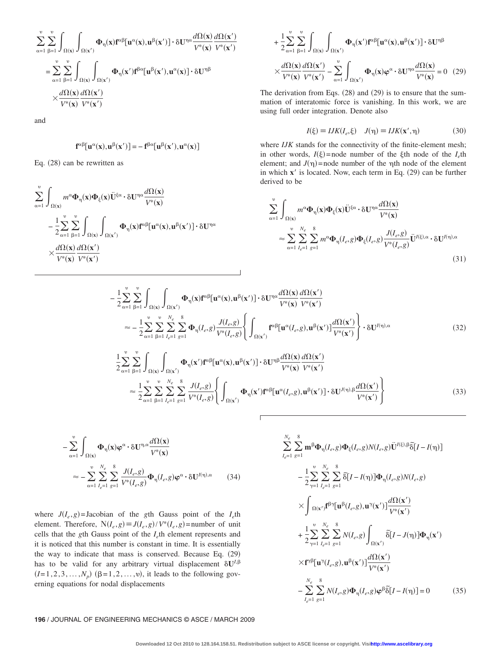$$
\begin{aligned} &\sum_{\alpha=1}^{\upsilon}\sum_{\beta=1}^{\upsilon}\int_{\Omega(x)}\int_{\Omega(x')}\Phi_{\eta}(x)f^{\alpha\beta}[u^{\alpha}(x),u^{\beta}(x')]\cdot\delta U^{\eta\alpha}\frac{d\Omega(x)}{V^{*}(x)}\frac{d\Omega(x')}{V^{*}(x')}\\ &=\sum_{\alpha=1}^{\upsilon}\sum_{\beta=1}^{\upsilon}\int_{\Omega(x)}\int_{\Omega(x')}\Phi_{\eta}(x')f^{\beta\alpha}[u^{\beta}(x'),u^{\alpha}(x)]\cdot\delta U^{\eta\beta}\\ &\times\frac{d\Omega(x)}{V^{*}(x)}\frac{d\Omega(x')}{V^{*}(x')} \end{aligned}
$$

and

$$
f^{\alpha\beta}[u^{\alpha}(x),u^{\beta}(x')] = -f^{\beta\alpha}[u^{\beta}(x'),u^{\alpha}(x)]
$$

Eq. (28) can be rewritten as

$$
\sum_{\alpha=1}^{\upsilon} \int_{\Omega(x)} m^{\alpha} \Phi_{\eta}(x) \Phi_{\xi}(x) \ddot{U}^{\xi\alpha} \cdot \delta U^{\eta\alpha} \frac{d\Omega(x)}{V^*(x)} \n- \frac{1}{2} \sum_{\alpha=1}^{\upsilon} \sum_{\beta=1}^{\upsilon} \int_{\Omega(x)} \int_{\Omega(x')} \Phi_{\eta}(x) f^{\alpha\beta}[u^{\alpha}(x), u^{\beta}(x')] \cdot \delta U^{\eta\alpha} \n\times \frac{d\Omega(x)}{V^*(x)} \frac{d\Omega(x')}{V^*(x')}
$$

$$
+ \frac{1}{2} \sum_{\alpha=1}^{v} \sum_{\beta=1}^{v} \int_{\Omega(x)} \int_{\Omega(x')} \Phi_{\eta}(x') f^{\alpha \beta} [u^{\alpha}(x), u^{\beta}(x')] \cdot \delta U^{\eta \beta}
$$

$$
\times \frac{d\Omega(x)}{V^{*}(x)} \frac{d\Omega(x')}{V^{*}(x')} - \sum_{\alpha=1}^{v} \int_{\Omega(x')} \Phi_{\eta}(x) \varphi^{\alpha} \cdot \delta U^{\eta \alpha} \frac{d\Omega(x)}{V^{*}(x)} = 0 \quad (29)
$$

The derivation from Eqs.  $(28)$  and  $(29)$  is to ensure that the summation of interatomic force is vanishing. In this work, we are using full order integration. Denote also

$$
I(\xi) \equiv IJK(I_e, \xi) \quad J(\eta) \equiv IJK(\mathbf{x}', \eta) \tag{30}
$$

where *IJK* stands for the connectivity of the finite-element mesh; in other words,  $I(\xi)$ =node number of the  $\xi$ th node of the  $I_e$ th element; and  $J(\eta)$ =node number of the  $\eta$ th node of the element in which **x**' is located. Now, each term in Eq. (29) can be further derived to be

$$
\sum_{\alpha=1}^{v} \int_{\Omega(\mathbf{x})} m^{\alpha} \Phi_{\eta}(\mathbf{x}) \Phi_{\xi}(\mathbf{x}) \ddot{\mathbf{U}}^{\xi\alpha} \cdot \delta \mathbf{U}^{\eta\alpha} \frac{d\Omega(\mathbf{x})}{V^*(\mathbf{x})}
$$
\n
$$
\approx \sum_{\alpha=1}^{v} \sum_{l_e=1}^{N_e} \sum_{g=1}^{8} m^{\alpha} \Phi_{\eta}(I_e, g) \Phi_{\xi}(I_e, g) \frac{J(I_e, g)}{V^*(I_e, g)} \ddot{\mathbf{U}}^{I(\xi), \alpha} \cdot \delta \mathbf{U}^{I(\eta), \alpha}
$$
\n(31)

$$
-\frac{1}{2}\sum_{\alpha=1}^{v}\sum_{\beta=1}^{v}\int_{\Omega(\mathbf{x})}\int_{\Omega(\mathbf{x}')} \Phi_{\eta}(\mathbf{x})\mathbf{f}^{\alpha\beta}[\mathbf{u}^{\alpha}(\mathbf{x}),\mathbf{u}^{\beta}(\mathbf{x}')] \cdot \delta \mathbf{U}^{\eta\alpha} \frac{d\Omega(\mathbf{x})}{V^{*}(\mathbf{x})} \frac{d\Omega(\mathbf{x}')}{V^{*}(\mathbf{x}')} \n\approx -\frac{1}{2}\sum_{\alpha=1}^{v}\sum_{\beta=1}^{v}\sum_{l_{e}=1}^{N_{e}}\sum_{g=1}^{N_{e}} \Phi_{\eta}(l_{e},g) \frac{J(l_{e},g)}{V^{*}(l_{e},g)} \left\{ \int_{\Omega(\mathbf{x}')} \mathbf{f}^{\alpha\beta}[\mathbf{u}^{\alpha}(l_{e},g),\mathbf{u}^{\beta}(\mathbf{x}')] \frac{d\Omega(\mathbf{x}')}{V^{*}(\mathbf{x}')} \right\} \cdot \delta \mathbf{U}^{I(\eta),\alpha}
$$
\n(32)

$$
\frac{1}{2} \sum_{\alpha=1}^{v} \sum_{\beta=1}^{v} \int_{\Omega(\mathbf{x})} \int_{\Omega(\mathbf{x}')} \Phi_{\eta}(\mathbf{x}') \mathbf{f}^{\alpha\beta} [\mathbf{u}^{\alpha}(\mathbf{x}), \mathbf{u}^{\beta}(\mathbf{x}')] \cdot \delta \mathbf{U}^{\eta\beta} \frac{d\Omega(\mathbf{x})}{V^{*}(\mathbf{x})} \frac{d\Omega(\mathbf{x}')}{V^{*}(\mathbf{x}')} \n\approx \frac{1}{2} \sum_{\alpha=1}^{v} \sum_{\beta=1}^{v} \sum_{\ell_{e}=1}^{N_{e}} \sum_{g=1}^{g} \frac{J(I_{e}, g)}{V^{*}(I_{e}, g)} \left\{ \int_{\Omega(\mathbf{x}')} \Phi_{\eta}(\mathbf{x}') \mathbf{f}^{\alpha\beta} [\mathbf{u}^{\alpha}(I_{e}, g), \mathbf{u}^{\beta}(\mathbf{x}')] \cdot \delta \mathbf{U}^{J(\eta), \beta} \frac{d\Omega(\mathbf{x}')}{V^{*}(\mathbf{x}')} \right\}
$$
\n(33)

$$
- \sum_{\alpha=1}^{v} \int_{\Omega(\mathbf{x})} \Phi_{\eta}(\mathbf{x}) \varphi^{\alpha} \cdot \delta \mathbf{U}^{\eta, \alpha} \frac{d\Omega(\mathbf{x})}{V^{*}(\mathbf{x})}
$$

$$
\approx - \sum_{\alpha=1}^{v} \sum_{l_{e}=1}^{N_{e}} \sum_{g=1}^{8} \frac{J(l_{e}, g)}{V^{*}(l_{e}, g)} \Phi_{\eta}(l_{e}, g) \varphi^{\alpha} \cdot \delta \mathbf{U}^{I(\eta), \alpha} \qquad (34)
$$

where  $J(I_e, g) =$  Jacobian of the *g*th Gauss point of the  $I_e$ th element. Therefore,  $N(I_e, g) \equiv J(I_e, g) / V^*(I_e, g)$  = number of unit cells that the *g*th Gauss point of the *I<sub>e</sub>*th element represents and it is noticed that this number is constant in time. It is essentially the way to indicate that mass is conserved. Because Eq. (29) has to be valid for any arbitrary virtual displacement  $\delta U^{I,\beta}$  $(I=1,2,3,...,N_p)$   $(\beta =1,2,...,v)$ , it leads to the following governing equations for nodal displacements

$$
\sum_{l_e=1}^{N_e} \sum_{g=1}^{8} \mathbf{m}^{\beta} \Phi_{\eta}(I_e, g) \Phi_{\xi}(I_e, g) N(I_e, g) \ddot{\mathbf{U}}^{I(\xi), \beta} \tilde{\delta}[I - I(\eta)]
$$
\n
$$
- \frac{1}{2} \sum_{\gamma=1}^{v} \sum_{l_e=1}^{N_e} \sum_{g=1}^{8} \tilde{\delta}[I - I(\eta)] \Phi_{\eta}(I_e, g) N(I_e, g)
$$
\n
$$
\times \int \mathbf{n}(\mathbf{x}') \mathbf{f}^{\beta \gamma} [\mathbf{u}^{\beta}(I_e, g), \mathbf{u}^{\gamma}(\mathbf{x}')] \frac{d\Omega(\mathbf{x}')}{V^*(\mathbf{x}')} + \frac{1}{2} \sum_{\gamma=1}^{v} \sum_{l_e=1}^{N_e} \sum_{g=1}^{8} N(I_e, g) \int \mathbf{n}(\mathbf{x}') \tilde{\delta}[I - J(\eta)] \Phi_{\eta}(\mathbf{x}')
$$
\n
$$
\times \mathbf{f}^{\gamma \beta} [\mathbf{u}^{\gamma}(I_e, g), \mathbf{u}^{\beta}(\mathbf{x}')] \frac{d\Omega(\mathbf{x}')}{V^*(\mathbf{x}')} - \sum_{l_e=1}^{N_e} \sum_{g=1}^{8} N(I_e, g) \Phi_{\eta}(I_e, g) \varphi^{\beta} \tilde{\delta}[I - I(\eta)] = 0 \qquad (35)
$$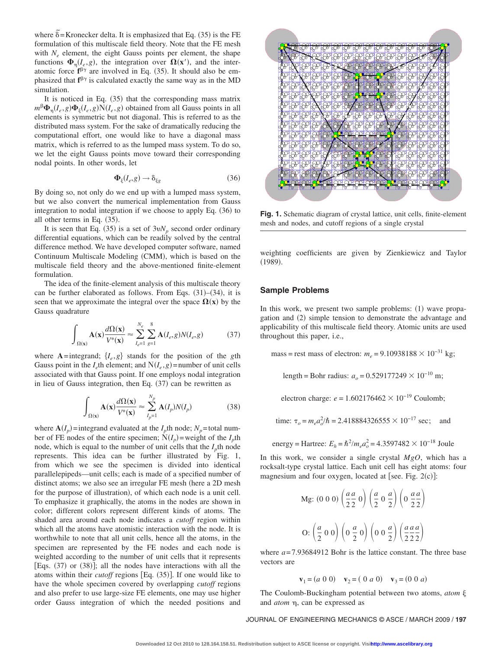where  $\tilde{\delta}$  = Kronecker delta. It is emphasized that Eq. (35) is the FE formulation of this multiscale field theory. Note that the FE mesh with  $N_e$  element, the eight Gauss points per element, the shape functions  $\Phi_{\eta}(I_e, g)$ , the integration over  $\Omega(\mathbf{x}')$ , and the interatomic force  $\mathbf{f}^{\beta\gamma}$  are involved in Eq. (35). It should also be emphasized that  $f^{\beta\gamma}$  is calculated exactly the same way as in the MD simulation.

It is noticed in Eq. (35) that the corresponding mass matrix  $m^{\beta} \Phi_{\eta}(I_e, g) \Phi_{\xi}(I_e, g) N(I_e, g)$  obtained from all Gauss points in all elements is symmetric but not diagonal. This is referred to as the distributed mass system. For the sake of dramatically reducing the computational effort, one would like to have a diagonal mass matrix, which is referred to as the lumped mass system. To do so, we let the eight Gauss points move toward their corresponding nodal points. In other words, let

$$
\Phi_{\xi}(I_e, g) \to \delta_{\xi g} \tag{36}
$$

By doing so, not only do we end up with a lumped mass system, but we also convert the numerical implementation from Gauss integration to nodal integration if we choose to apply Eq. (36) to all other terms in Eq.  $(35)$ .

It is seen that Eq.  $(35)$  is a set of  $3vN_p$  second order ordinary differential equations, which can be readily solved by the central difference method. We have developed computer software, named Continuum Multiscale Modeling (CMM), which is based on the multiscale field theory and the above-mentioned finite-element formulation.

The idea of the finite-element analysis of this multiscale theory can be further elaborated as follows. From Eqs.  $(31)$ – $(34)$ , it is seen that we approximate the integral over the space  $\Omega(x)$  by the Gauss quadrature

$$
\int_{\Omega(\mathbf{x})} \mathbf{A}(\mathbf{x}) \frac{d\Omega(\mathbf{x})}{V^*(\mathbf{x})} \approx \sum_{l_e=1}^{N_e} \sum_{g=1}^{8} \mathbf{A}(I_e, g) N(I_e, g) \tag{37}
$$

where  $A$ =integrand;  $\{I_e, g\}$  stands for the position of the *g*th Gauss point in the  $I_e$ <sup>th</sup> element; and  $N(I_e, g)$  = number of unit cells associated with that Gauss point. If one employs nodal integration in lieu of Gauss integration, then Eq. (37) can be rewritten as

$$
\int_{\Omega(\mathbf{x})} \mathbf{A}(\mathbf{x}) \frac{d\Omega(\mathbf{x})}{V^*(\mathbf{x})} \approx \sum_{l_p=1}^{N_p} \mathbf{A}(l_p) N(l_p)
$$
(38)

where  $\mathbf{A}(I_p)$ =integrand evaluated at the  $I_p$ th node;  $N_p$ =total number of FE nodes of the entire specimen;  $\dot{N}(I_p)$  = weight of the  $I_p$ th node, which is equal to the number of unit cells that the  $I<sub>p</sub>$ th node represents. This idea can be further illustrated by Fig. 1, from which we see the specimen is divided into identical parallelepipeds—unit cells; each is made of a specified number of distinct atoms; we also see an irregular FE mesh (here a 2D mesh for the purpose of illustration), of which each node is a unit cell. To emphasize it graphically, the atoms in the nodes are shown in color; different colors represent different kinds of atoms. The shaded area around each node indicates a *cutoff* region within which all the atoms have atomistic interaction with the node. It is worthwhile to note that all unit cells, hence all the atoms, in the specimen are represented by the FE nodes and each node is weighted according to the number of unit cells that it represents [Eqs.  $(37)$  or  $(38)$ ]; all the nodes have interactions with all the atoms within their *cutoff* regions [Eq. (35)]. If one would like to have the whole specimen covered by overlapping *cutoff* regions and also prefer to use large-size FE elements, one may use higher order Gauss integration of which the needed positions and



**Fig. 1.** Schematic diagram of crystal lattice, unit cells, finite-element mesh and nodes, and cutoff regions of a single crystal

weighting coefficients are given by Zienkiewicz and Taylor  $(1989).$ 

#### **Sample Problems**

In this work, we present two sample problems: (1) wave propagation and (2) simple tension to demonstrate the advantage and applicability of this multiscale field theory. Atomic units are used throughout this paper, i.e.,

 $mass = rest$  mass of electron:  $m_e = 9.10938188 \times 10^{-31}$  kg;

length = Bohr radius:  $a_0 = 0.529177249 \times 10^{-10}$  m;

electron charge:  $e = 1.602176462 \times 10^{-19}$  Coulomb;

time:  $\tau_o = m_e a_o^2 / \hbar = 2.418884326555 \times 10^{-17}$  sec; and

energy = Hartree:  $E_h = \hbar^2 / m_e a_o^2 = 4.3597482 \times 10^{-18}$  Joule

In this work, we consider a single crystal *MgO*, which has a rocksalt-type crystal lattice. Each unit cell has eight atoms: four magnesium and four oxygen, located at [see. Fig.  $2(c)$ ]:

Mg: (0 0 0) 
$$
\left(\frac{a}{2}\frac{a}{2} 0\right) \left(\frac{a}{2} 0 \frac{a}{2}\right) \left(0 \frac{a}{2}\frac{a}{2}\right)
$$
  
O:  $\left(\frac{a}{2} 0 0\right) \left(0 \frac{a}{2} 0\right) \left(0 0 \frac{a}{2}\right) \left(\frac{a}{2}\frac{a}{2}\frac{a}{2}\right)$ 

where  $a = 7.93684912$  Bohr is the lattice constant. The three base vectors are

$$
\mathbf{v}_1 = (a \ 0 \ 0) \quad \mathbf{v}_2 = (0 \ a \ 0) \quad \mathbf{v}_3 = (0 \ 0 \ a)
$$

The Coulomb-Buckingham potential between two atoms, *atom* and *atom* η, can be expressed as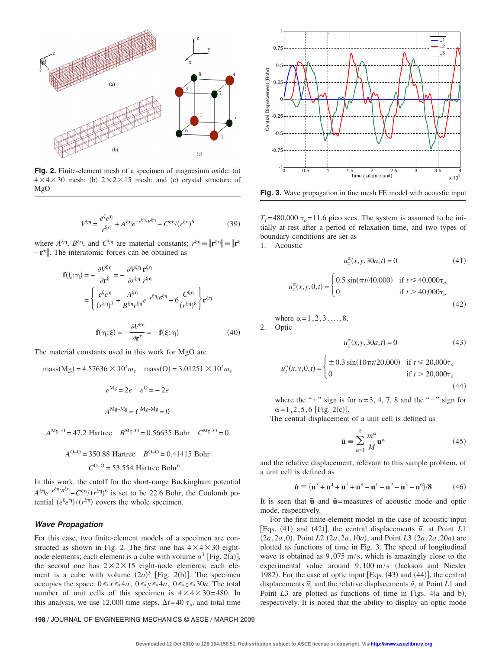

**Fig. 2.** Finite-element mesh of a specimen of magnesium oxide: (a)  $4 \times 4 \times 30$  mesh; (b)  $2 \times 2 \times 15$  mesh; and (c) crystal structure of MgO

$$
V^{\xi\eta} = \frac{e^{\xi}e^{\eta}}{r^{\xi\eta}} + A^{\xi\eta}e^{-r^{\xi\eta}/B^{\xi\eta}} - C^{\xi\eta}/(r^{\xi\eta})^6
$$
(39)

where  $A^{\xi\eta}$ ,  $B^{\xi\eta}$ , and  $C^{\xi\eta}$  are material constants;  $r^{\xi\eta} \equiv ||\mathbf{r}^{\xi\eta}|| \equiv ||\mathbf{r}^{\xi}||$ −**r**. The interatomic forces can be obtained as

$$
\mathbf{f}(\xi;\eta) = -\frac{\partial V^{\xi\eta}}{\partial \mathbf{r}^{\xi}} = -\frac{\partial V^{\xi\eta}}{\partial r^{\xi\eta}} \frac{\mathbf{r}^{\xi\eta}}{r^{\xi\eta}}
$$

$$
= \left\{ \frac{e^{\xi}e^{\eta}}{(r^{\xi\eta})^3} + \frac{A^{\xi\eta}}{B^{\xi\eta}r^{\xi\eta}} e^{-r^{\xi\eta}/B^{\xi\eta}} - 6\frac{C^{\xi\eta}}{(r^{\xi\eta})^8} \right\} \mathbf{r}^{\xi\eta}
$$

$$
\mathbf{f}(\eta;\xi) = -\frac{\partial V^{\xi\eta}}{\partial \mathbf{r}^{\eta}} = -\mathbf{f}(\xi;\eta) \tag{40}
$$

The material constants used in this work for MgO are

$$
mass(Mg) = 4.57636 \times 10^4 m_e \quad mass(O) = 3.01251 \times 10^4 m_e
$$

$$
e^{\text{Mg}} = 2e \t e^{\text{O}} = -2e
$$

$$
A^{\text{Mg-Mg}} = C^{\text{Mg-Mg}} = 0
$$

$$
A^{\text{Mg-O}} = 47.2 \text{ Hartree}
$$
  $B^{\text{Mg-O}} = 0.56635 \text{ Bohr}$   $C^{\text{Mg-O}} = 0$ 

$$
A^{O-O} = 350.88
$$
 Hartree  $B^{O-O} = 0.41415$  Bohr  
 $C^{O-O} = 53.554$  Hartree Bohr<sup>6</sup>

In this work, the cutoff for the short-range Buckingham potential  $A^{\xi \eta} e^{-r^{\xi \eta}/B^{\xi \eta}} - C^{\xi \eta} / (r^{\xi \eta})^6$  is set to be 22.6 Bohr; the Coulomb potential  $(e^{\xi}e^{\eta})/(r^{\xi\eta})$  covers the whole specimen.

#### *Wave Propagation*

For this case, two finite-element models of a specimen are constructed as shown in Fig. 2. The first one has  $4 \times 4 \times 30$  eightnode elements; each element is a cube with volume  $a^3$  [Fig. 2(a)], the second one has  $2 \times 2 \times 15$  eight-node elements; each element is a cube with volume  $(2a)^3$  [Fig. 2(b)]. The specimen occupies the space:  $0 \le x \le 4a$ ,  $0 \le y \le 4a$ ,  $0 \le z \le 30a$ . The total number of unit cells of this specimen is  $4 \times 4 \times 30 = 480$ . In this analysis, we use 12,000 time steps,  $\Delta t = 40 \tau_o$ , and total time



**Fig. 3.** Wave propagation in fine mesh FE model with acoustic input

 $T_f$ =480,000  $\tau_o$ =11.6 pico secs. The system is assumed to be initially at rest after a period of relaxation time, and two types of boundary conditions are set as

1. Acoustic

$$
u_z^{\alpha}(x, y, 30a, t) = 0 \tag{41}
$$

$$
u_z^{\alpha}(x, y, 0, t) = \begin{cases} 0.5 \sin(\pi t/40,000) & \text{if } t \le 40,000\tau_o \\ 0 & \text{if } t > 40,000\tau_o \end{cases}
$$
(42)

where  $\alpha = 1, 2, 3, \ldots, 8$ .

2. Optic

$$
u_z^{\alpha}(x, y, 30a, t) = 0 \tag{43}
$$

$$
u_z^{\alpha}(x, y, 0, t) = \begin{cases} \pm 0.3 \sin(10\pi t/20,000) & \text{if } t \le 20,000\tau_o\\ 0 & \text{if } t > 20,000\tau_o \end{cases}
$$
(44)

where the "+" sign is for  $\alpha = 3, 4, 7, 8$  and the "-" sign for  $\alpha = 1, 2, 5, 6$  [Fig. 2(c)].

The central displacement of a unit cell is defined as

$$
\widetilde{\mathbf{u}} = \sum_{\alpha=1}^{8} \frac{m^{\alpha}}{M} \mathbf{u}^{\alpha}
$$
 (45)

and the relative displacement, relevant to this sample problem, of a unit cell is defined as

$$
\hat{\mathbf{u}} = {\mathbf{u}^3 + \mathbf{u}^4 + \mathbf{u}^7 + \mathbf{u}^8 - \mathbf{u}^1 - \mathbf{u}^2 - \mathbf{u}^5 - \mathbf{u}^6}/8
$$
 (46)

It is seen that  $\tilde{u}$  and  $\hat{u}$ =measures of acoustic mode and optic mode, respectively.

For the first finite-element model in the case of acoustic input Eqs. (41) and (42)], the central displacements  $\tilde{u}_z$  at Point *L*1  $(2a, 2a, 0)$ , Point *L*2  $(2a, 2a, 10a)$ , and Point *L*3  $(2a, 2a, 20a)$  are plotted as functions of time in Fig. 3. The speed of longitudinal wave is obtained as 9,075 m/s, which is amazingly close to the experimental value around 9,100 m/s (Jackson and Niesler 1982). For the case of optic input [Eqs.  $(43)$  and  $(44)$ ], the central displacements  $\tilde{u}_z$  and the relative displacements  $\hat{u}_z$  at Point *L*1 and Point L3 are plotted as functions of time in Figs. 4(a and b), respectively. It is noted that the ability to display an optic mode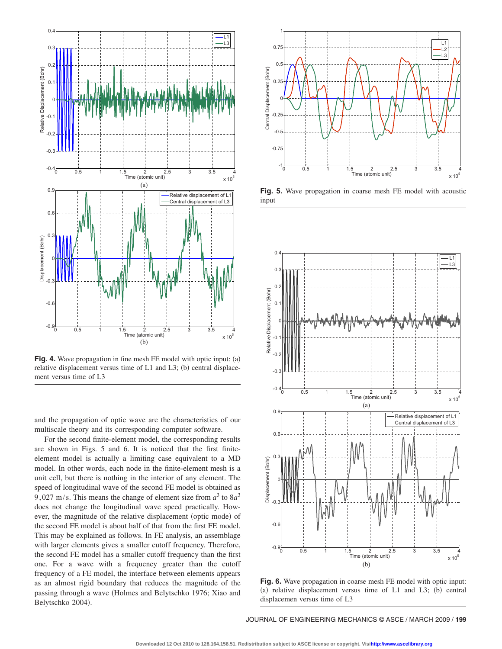

**Fig. 4.** Wave propagation in fine mesh FE model with optic input: (a) relative displacement versus time of  $L1$  and  $L3$ ; (b) central displacement versus time of L3

and the propagation of optic wave are the characteristics of our multiscale theory and its corresponding computer software.

For the second finite-element model, the corresponding results are shown in Figs. 5 and 6. It is noticed that the first finiteelement model is actually a limiting case equivalent to a MD model. In other words, each node in the finite-element mesh is a unit cell, but there is nothing in the interior of any element. The speed of longitudinal wave of the second FE model is obtained as 9,027 m/s. This means the change of element size from  $a^3$  to  $8a^3$ does not change the longitudinal wave speed practically. However, the magnitude of the relative displacement (optic mode) of the second FE model is about half of that from the first FE model. This may be explained as follows. In FE analysis, an assemblage with larger elements gives a smaller cutoff frequency. Therefore, the second FE model has a smaller cutoff frequency than the first one. For a wave with a frequency greater than the cutoff frequency of a FE model, the interface between elements appears as an almost rigid boundary that reduces the magnitude of the passing through a wave (Holmes and Belytschko 1976; Xiao and Belytschko 2004).



**Fig. 5.** Wave propagation in coarse mesh FE model with acoustic input



**Fig. 6.** Wave propagation in coarse mesh FE model with optic input: (a) relative displacement versus time of L1 and L3; (b) central displacemen versus time of L3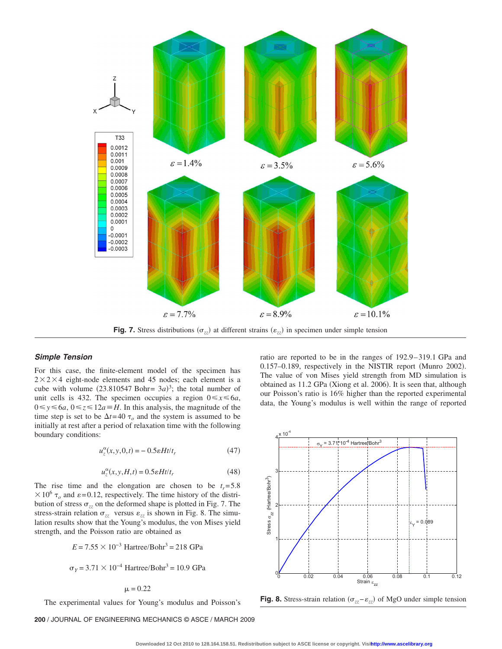

**Fig. 7.** Stress distributions  $(\sigma_{zz})$  at different strains  $(\varepsilon_{zz})$  in specimen under simple tension

## *Simple Tension*

For this case, the finite-element model of the specimen has  $2 \times 2 \times 4$  eight-node elements and 45 nodes; each element is a cube with volume  $(23.810547 \text{ Bohr} = 3a)^3$ ; the total number of unit cells is 432. The specimen occupies a region  $0 \le x \le 6a$ ,  $0 \le y \le 6a$ ,  $0 \le z \le 12a = H$ . In this analysis, the magnitude of the time step is set to be  $\Delta t = 40 \tau_o$  and the system is assumed to be initially at rest after a period of relaxation time with the following boundary conditions:

$$
u_z^{\alpha}(x, y, 0, t) = -0.5 \varepsilon H t / t_r \tag{47}
$$

$$
u_z^{\alpha}(x, y, H, t) = 0.5 \varepsilon H t / t_r
$$
\n(48)

The rise time and the elongation are chosen to be  $t_r = 5.8$  $\times 10^6$   $\tau_o$  and  $\varepsilon$ =0.12, respectively. The time history of the distribution of stress  $\sigma_{zz}$  on the deformed shape is plotted in Fig. 7. The stress-strain relation  $\sigma_{zz}$  versus  $\varepsilon_{zz}$  is shown in Fig. 8. The simulation results show that the Young's modulus, the von Mises yield strength, and the Poisson ratio are obtained as

$$
E = 7.55 \times 10^{-3} \text{ Hartree/B} \cdot \text{Bohr}^3 = 218 \text{ GPa}
$$

$$
\sigma_Y = 3.71 \times 10^{-4}
$$
 Hartree/Bohr<sup>3</sup> = 10.9 GPa

$$
\mu = 0.22
$$

The experimental values for Young's modulus and Poisson's

**200** / JOURNAL OF ENGINEERING MECHANICS © ASCE / MARCH 2009

ratio are reported to be in the ranges of 192.9– 319.1 GPa and 0.157–0.189, respectively in the NISTIR report (Munro 2002). The value of von Mises yield strength from MD simulation is obtained as 11.2 GPa (Xiong et al. 2006). It is seen that, although our Poisson's ratio is 16% higher than the reported experimental data, the Young's modulus is well within the range of reported



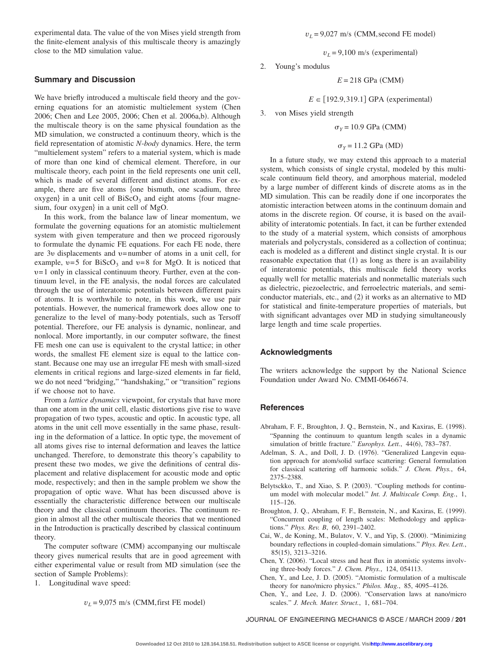experimental data. The value of the von Mises yield strength from the finite-element analysis of this multiscale theory is amazingly close to the MD simulation value.

#### **Summary and Discussion**

We have briefly introduced a multiscale field theory and the governing equations for an atomistic multielement system Chen 2006; Chen and Lee 2005, 2006; Chen et al. 2006a,b). Although the multiscale theory is on the same physical foundation as the MD simulation, we constructed a continuum theory, which is the field representation of atomistic *N*-*body* dynamics. Here, the term "multielement system" refers to a material system, which is made of more than one kind of chemical element. Therefore, in our multiscale theory, each point in the field represents one unit cell, which is made of several different and distinct atoms. For example, there are five atoms {one bismuth, one scadium, three  $oxygen$  in a unit cell of  $BiScO<sub>3</sub>$  and eight atoms {four magnesium, four oxygen} in a unit cell of MgO.

In this work, from the balance law of linear momentum, we formulate the governing equations for an atomistic multielement system with given temperature and then we proceed rigorously to formulate the dynamic FE equations. For each FE node, there are 3 $\nu$  displacements and  $\nu$ = number of atoms in a unit cell, for example,  $v=5$  for BiScO<sub>3</sub> and  $v=8$  for MgO. It is noticed that  $v=1$  only in classical continuum theory. Further, even at the continuum level, in the FE analysis, the nodal forces are calculated through the use of interatomic potentials between different pairs of atoms. It is worthwhile to note, in this work, we use pair potentials. However, the numerical framework does allow one to generalize to the level of many-body potentials, such as Tersoff potential. Therefore, our FE analysis is dynamic, nonlinear, and nonlocal. More importantly, in our computer software, the finest FE mesh one can use is equivalent to the crystal lattice; in other words, the smallest FE element size is equal to the lattice constant. Because one may use an irregular FE mesh with small-sized elements in critical regions and large-sized elements in far field, we do not need "bridging," "handshaking," or "transition" regions if we choose not to have.

From a *lattice dynamics* viewpoint, for crystals that have more than one atom in the unit cell, elastic distortions give rise to wave propagation of two types, acoustic and optic. In acoustic type, all atoms in the unit cell move essentially in the same phase, resulting in the deformation of a lattice. In optic type, the movement of all atoms gives rise to internal deformation and leaves the lattice unchanged. Therefore, to demonstrate this theory's capability to present these two modes, we give the definitions of central displacement and relative displacement for acoustic mode and optic mode, respectively; and then in the sample problem we show the propagation of optic wave. What has been discussed above is essentially the characteristic difference between our multiscale theory and the classical continuum theories. The continuum region in almost all the other multiscale theories that we mentioned in the Introduction is practically described by classical continuum theory.

The computer software (CMM) accompanying our multiscale theory gives numerical results that are in good agreement with either experimental value or result from MD simulation (see the section of Sample Problems):

1. Longitudinal wave speed:

 $v_L$  = 9,075 m/s (CMM, first FE model)

 $v_L$  = 9,100 m/s (experimental)

2. Young's modulus

 $E = 218$  GPa (CMM)

 $E \in [192.9, 319.1]$  GPA (experimental)

3. von Mises yield strength

$$
\sigma_Y = 10.9
$$
 GPa (CMM)

 $\sigma_Y = 11.2 \text{ GPa (MD)}$ 

In a future study, we may extend this approach to a material system, which consists of single crystal, modeled by this multiscale continuum field theory, and amorphous material, modeled by a large number of different kinds of discrete atoms as in the MD simulation. This can be readily done if one incorporates the atomistic interaction between atoms in the continuum domain and atoms in the discrete region. Of course, it is based on the availability of interatomic potentials. In fact, it can be further extended to the study of a material system, which consists of amorphous materials and polycrystals, considered as a collection of continua; each is modeled as a different and distinct single crystal. It is our reasonable expectation that  $(1)$  as long as there is an availability of interatomic potentials, this multiscale field theory works equally well for metallic materials and nonmetallic materials such as dielectric, piezoelectric, and ferroelectric materials, and semiconductor materials, etc., and (2) it works as an alternative to MD for statistical and finite-temperature properties of materials, but with significant advantages over MD in studying simultaneously large length and time scale properties.

#### **Acknowledgments**

The writers acknowledge the support by the National Science Foundation under Award No. CMMI-0646674.

## **References**

- Abraham, F. F., Broughton, J. Q., Bernstein, N., and Kaxiras, E. (1998). "Spanning the continuum to quantum length scales in a dynamic simulation of brittle fracture." *Europhys. Lett.*, 44(6), 783-787.
- Adelman, S. A., and Doll, J. D. (1976). "Generalized Langevin equation approach for atom/solid surface scattering: General formulation for classical scattering off harmonic solids." *J. Chem. Phys.*, 64, 2375–2388.
- Belytsckko, T., and Xiao, S. P. (2003). "Coupling methods for continuum model with molecular model." *Int. J. Multiscale Comp. Eng.*, 1, 115–126.
- Broughton, J. Q., Abraham, F. F., Bernstein, N., and Kaxiras, E. (1999). "Concurrent coupling of length scales: Methodology and applications." *Phys. Rev. B*, 60, 2391–2402.
- Cai, W., de Koning, M., Bulatov, V. V., and Yip, S. (2000). "Minimizing boundary reflections in coupled-domain simulations." *Phys. Rev. Lett.*, 85(15), 3213-3216.
- Chen, Y. (2006). "Local stress and heat flux in atomistic systems involving three-body forces." *J. Chem. Phys.*, 124, 054113.
- Chen, Y., and Lee, J. D. (2005). "Atomistic formulation of a multiscale theory for nano/micro physics." *Philos. Mag.*, 85, 4095–4126.
- Chen, Y., and Lee, J. D. (2006). "Conservation laws at nano/micro scales." *J. Mech. Mater. Struct.*, 1, 681–704.